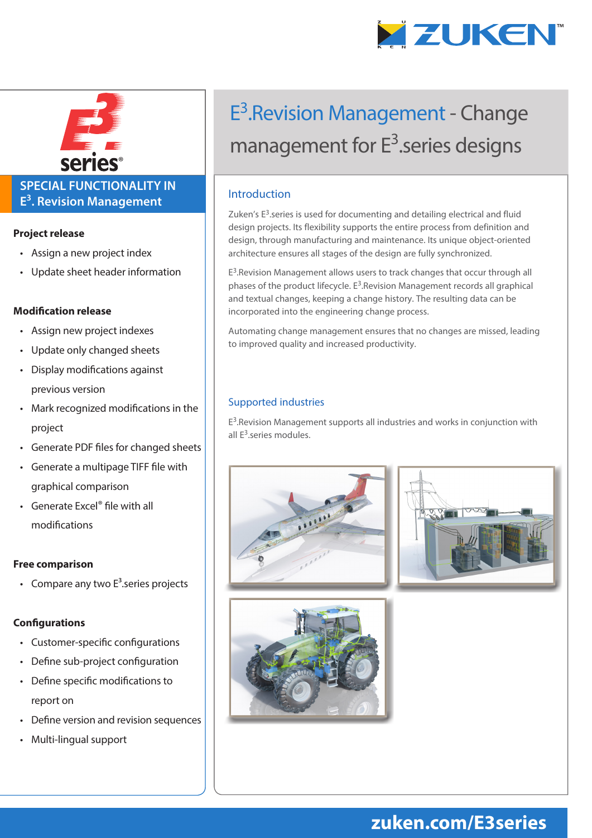



### **SPECIAL FUNCTIONALITY IN E3 . Revision Management**

#### **Project release**

- Assign a new project index
- Update sheet header information

#### **Modification release**

- Assign new project indexes
- Update only changed sheets
- Display modifications against previous version
- Mark recognized modifications in the project
- Generate PDF files for changed sheets
- Generate a multipage TIFF file with graphical comparison
- Generate Excel® file with all modifications

#### **Free comparison**

• Compare any two  $E<sup>3</sup>$  series projects

#### **Configurations**

- Customer-specific configurations
- Define sub-project configuration
- Define specific modifications to report on
- Define version and revision sequences
- Multi-lingual support

# E3.Revision Management - Change management for E<sup>3</sup>.series designs

#### Introduction

Zuken's  $E<sup>3</sup>$  series is used for documenting and detailing electrical and fluid design projects. Its flexibility supports the entire process from definition and design, through manufacturing and maintenance. Its unique object-oriented architecture ensures all stages of the design are fully synchronized.

E<sup>3</sup>. Revision Management allows users to track changes that occur through all phases of the product lifecycle. E<sup>3</sup>.Revision Management records all graphical and textual changes, keeping a change history. The resulting data can be incorporated into the engineering change process.

Automating change management ensures that no changes are missed, leading to improved quality and increased productivity.

#### Supported industries

 $E<sup>3</sup>$ . Revision Management supports all industries and works in conjunction with all E<sup>3</sup>.series modules.







## **zuken.com/E3series**